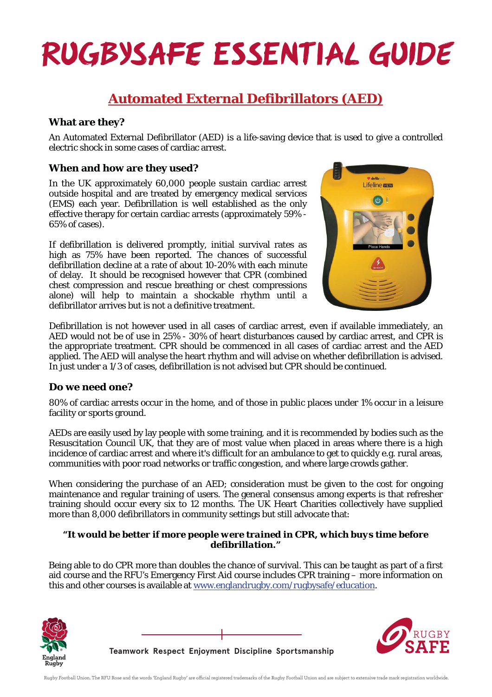# **RUGBYSAFE ESSENTIAL GUIDE**

### **Automated External Defibrillators (AED)**

#### **What are they?**

An Automated External Defibrillator (AED) is a life-saving device that is used to give a controlled electric shock in some cases of cardiac arrest.

#### **When and how are they used?**

In the UK approximately 60,000 people sustain cardiac arrest outside hospital and are treated by emergency medical services (EMS) each year. Defibrillation is well established as the only effective therapy for certain cardiac arrests (approximately 59% - 65% of cases).

If defibrillation is delivered promptly, initial survival rates as high as 75% have been reported. The chances of successful defibrillation decline at a rate of about 10-20% with each minute of delay. It should be recognised however that CPR (combined chest compression and rescue breathing or chest compressions alone) will help to maintain a shockable rhythm until a defibrillator arrives but is not a definitive treatment.



Defibrillation is not however used in all cases of cardiac arrest, even if available immediately, an AED would not be of use in 25% - 30% of heart disturbances caused by cardiac arrest, and CPR is the appropriate treatment. CPR should be commenced in all cases of cardiac arrest and the AED applied. The AED will analyse the heart rhythm and will advise on whether defibrillation is advised. In just under a 1/3 of cases, defibrillation is not advised but CPR should be continued.

#### **Do we need one?**

80% of cardiac arrests occur in the home, and of those in public places under 1% occur in a leisure facility or sports ground.

AEDs are easily used by lay people with some training, and it is recommended by bodies such as the Resuscitation Council UK, that they are of most value when placed in areas where there is a high incidence of cardiac arrest and where it's difficult for an ambulance to get to quickly e.g. rural areas, communities with poor road networks or traffic congestion, and where large crowds gather.

When considering the purchase of an AED; consideration must be given to the cost for ongoing maintenance and regular training of users. The general consensus among experts is that refresher training should occur every six to 12 months. The UK Heart Charities collectively have supplied more than 8,000 defibrillators in community settings but still advocate that:

#### *"It would be better if more people were trained in CPR, which buys time before defibrillation."*

Being able to do CPR more than doubles the chance of survival. This can be taught as part of a first aid course and the RFU's Emergency First Aid course includes CPR training – more information on this and other courses is available at www.englandrugby.com/rugbysafe/education.





**Teamwork Respect Enjoyment Discipline Sportsmanship**